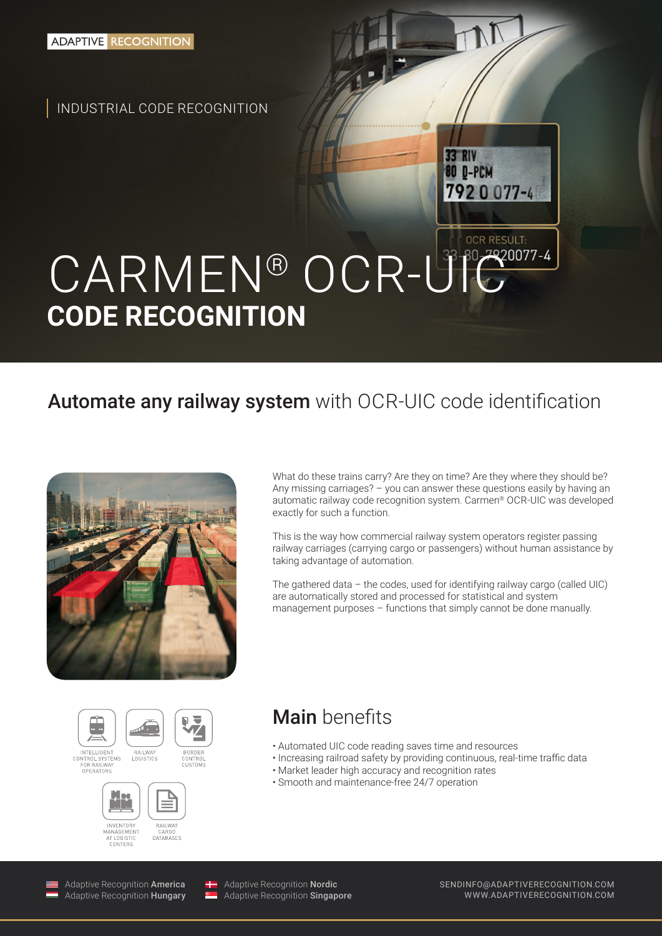INDUSTRIAL CODE RECOGNITION

# CARMEN® OCR-U<sup>33-30</sup>7920077-4 **CODE RECOGNITION**

## Automate any railway system with OCR-UIC code identification



What do these trains carry? Are they on time? Are they where they should be? Any missing carriages? – you can answer these questions easily by having an automatic railway code recognition system. Carmen® OCR-UIC was developed exactly for such a function.

**33 RIV** 80 D-PCM

7920077-4

**OCR RESULT:** 

This is the way how commercial railway system operators register passing railway carriages (carrying cargo or passengers) without human assistance by taking advantage of automation.

The gathered data – the codes, used for identifying railway cargo (called UIC) are automatically stored and processed for statistical and system management purposes – functions that simply cannot be done manually.





**INVENTOR** RAILWAY MANAGEMENT DATARASES AT LOGISTI ISTI

#### Main benefits

- Automated UIC code reading saves time and resources
- Increasing railroad safety by providing continuous, real-time traffic data
- Market leader high accuracy and recognition rates
- Smooth and maintenance-free 24/7 operation

Adaptive Recognition America Adaptive Recognition Hungary

 $\overline{V}$ 

Adaptive Recognition Nordic Adaptive Recognition **Singapore**  SENDINFO@ADAPTIVERECOGNITION.COM WWW.ADAPTIVERECOGNITION.COM